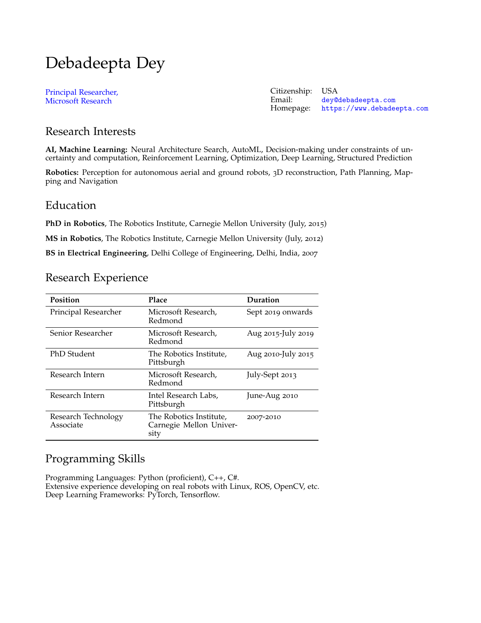# Debadeepta Dey

[Principal Researcher,](https://www.microsoft.com/en-us/research/) [Microsoft Research](https://www.microsoft.com/en-us/research/)

Citizenship: USA<br>Email: dev@ Email: [dey@debadeepta.com](mailto:dey@debadeepta.com)<br>Homepage: https://www.debadee <https://www.debadeepta.com>

## Research Interests

**AI, Machine Learning:** Neural Architecture Search, AutoML, Decision-making under constraints of uncertainty and computation, Reinforcement Learning, Optimization, Deep Learning, Structured Prediction

**Robotics:** Perception for autonomous aerial and ground robots, 3D reconstruction, Path Planning, Mapping and Navigation

### Education

**PhD in Robotics**, The Robotics Institute, Carnegie Mellon University (July, 2015)

**MS in Robotics**, The Robotics Institute, Carnegie Mellon University (July, 2012)

**BS in Electrical Engineering**, Delhi College of Engineering, Delhi, India, 2007

# Research Experience

| Position                         | Place                                                      | Duration           |
|----------------------------------|------------------------------------------------------------|--------------------|
| Principal Researcher             | Microsoft Research,<br>Redmond                             | Sept 2019 onwards  |
| Senior Researcher                | Microsoft Research,<br>Redmond                             | Aug 2015-July 2019 |
| PhD Student                      | The Robotics Institute,<br>Pittsburgh                      | Aug 2010-July 2015 |
| Research Intern                  | Microsoft Research,<br>Redmond                             | July-Sept 2013     |
| Research Intern                  | Intel Research Labs,<br>Pittsburgh                         | June-Aug 2010      |
| Research Technology<br>Associate | The Robotics Institute,<br>Carnegie Mellon Univer-<br>sity | 2007-2010          |

# Programming Skills

Programming Languages: Python (proficient), C++, C#. Extensive experience developing on real robots with Linux, ROS, OpenCV, etc. Deep Learning Frameworks: PyTorch, Tensorflow.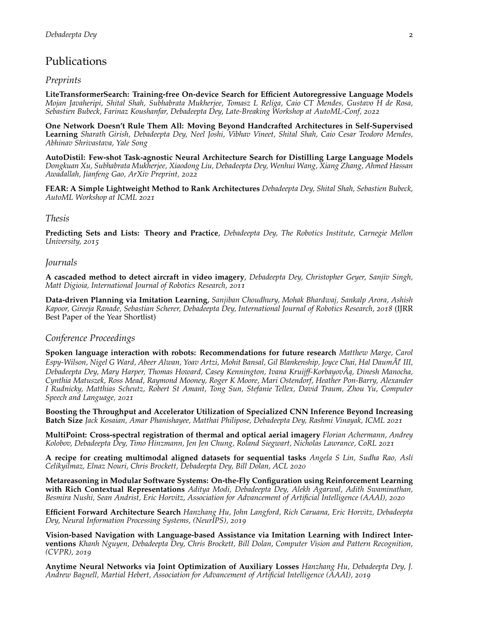## Publications

#### *Preprints*

**LiteTransformerSearch: Training-free On-device Search for Efficient Autoregressive Language Models** *Mojan Javaheripi, Shital Shah, Subhabrata Mukherjee, Tomasz L Religa, Caio CT Mendes, Gustavo H de Rosa, Sebastien Bubeck, Farinaz Koushanfar, Debadeepta Dey, Late-Breaking Workshop at AutoML-Conf, 2022*

**One Network Doesn't Rule Them All: Moving Beyond Handcrafted Architectures in Self-Supervised Learning** *Sharath Girish, Debadeepta Dey, Neel Joshi, Vibhav Vineet, Shital Shah, Caio Cesar Teodoro Mendes, Abhinav Shrivastava, Yale Song*

**AutoDistil: Few-shot Task-agnostic Neural Architecture Search for Distilling Large Language Models** *Dongkuan Xu, Subhabrata Mukherjee, Xiaodong Liu, Debadeepta Dey, Wenhui Wang, Xiang Zhang, Ahmed Hassan Awadallah, Jianfeng Gao, ArXiv Preprint, 2022*

**FEAR: A Simple Lightweight Method to Rank Architectures** *Debadeepta Dey, Shital Shah, Sebastien Bubeck, AutoML Workshop at ICML 2021*

#### *Thesis*

**Predicting Sets and Lists: Theory and Practice**, *Debadeepta Dey, The Robotics Institute, Carnegie Mellon University, 2015*

#### *Journals*

**A cascaded method to detect aircraft in video imagery**, *Debadeepta Dey, Christopher Geyer, Sanjiv Singh, Matt Digioia, International Journal of Robotics Research, 2011*

**Data-driven Planning via Imitation Learning**, *Sanjiban Choudhury, Mohak Bhardwaj, Sankalp Arora, Ashish Kapoor, Gireeja Ranade, Sebastian Scherer, Debadeepta Dey, International Journal of Robotics Research, 2018* (IJRR Best Paper of the Year Shortlist)

#### *Conference Proceedings*

**Spoken language interaction with robots: Recommendations for future research** *Matthew Marge, Carol Espy-Wilson, Nigel G Ward, Abeer Alwan, Yoav Artzi, Mohit Bansal, Gil Blankenship, Joyce Chai, Hal DaumÃl' III, Debadeepta Dey, Mary Harper, Thomas Howard, Casey Kennington, Ivana Kruijff-KorbayovÃa, Dinesh Manocha, ˛ Cynthia Matuszek, Ross Mead, Raymond Mooney, Roger K Moore, Mari Ostendorf, Heather Pon-Barry, Alexander I Rudnicky, Matthias Scheutz, Robert St Amant, Tong Sun, Stefanie Tellex, David Traum, Zhou Yu, Computer Speech and Language, 2021*

**Boosting the Throughput and Accelerator Utilization of Specialized CNN Inference Beyond Increasing Batch Size** *Jack Kosaian, Amar Phanishayee, Matthai Philipose, Debadeepta Dey, Rashmi Vinayak, ICML 2021*

**MultiPoint: Cross-spectral registration of thermal and optical aerial imagery** *Florian Achermann, Andrey Kolobov, Debadeepta Dey, Timo Hinzmann, Jen Jen Chung, Roland Siegwart, Nicholas Lawrance, CoRL 2021*

**A recipe for creating multimodal aligned datasets for sequential tasks** *Angela S Lin, Sudha Rao, Asli Celikyilmaz, Elnaz Nouri, Chris Brockett, Debadeepta Dey, Bill Dolan, ACL 2020*

**Metareasoning in Modular Software Systems: On-the-Fly Configuration using Reinforcement Learning with Rich Contextual Representations** *Aditya Modi, Debadeepta Dey, Alekh Agarwal, Adith Swaminathan, Besmira Nushi, Sean Andrist, Eric Horvitz, Association for Advancement of Artificial Intelligence (AAAI), 2020*

**Efficient Forward Architecture Search** *Hanzhang Hu, John Langford, Rich Caruana, Eric Horvitz, Debadeepta Dey, Neural Information Processing Systems, (NeurIPS), 2019*

**Vision-based Navigation with Language-based Assistance via Imitation Learning with Indirect Interventions** *Khanh Nguyen, Debadeepta Dey, Chris Brockett, Bill Dolan, Computer Vision and Pattern Recognition, (CVPR), 2019*

**Anytime Neural Networks via Joint Optimization of Auxiliary Losses** *Hanzhang Hu, Debadeepta Dey, J. Andrew Bagnell, Martial Hebert, Association for Advancement of Artificial Intelligence (AAAI), 2019*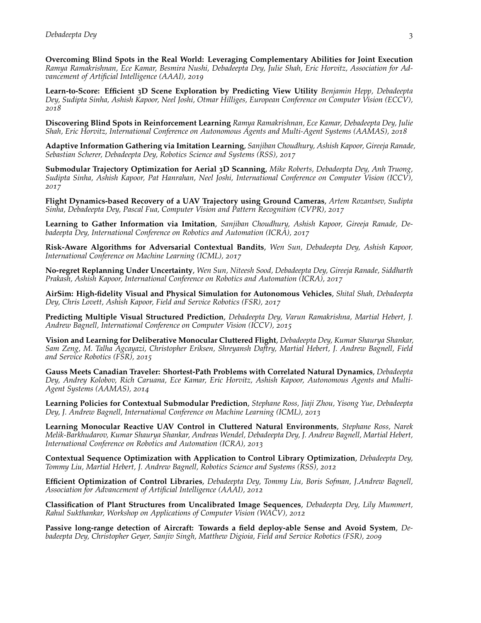**Overcoming Blind Spots in the Real World: Leveraging Complementary Abilities for Joint Execution** *Ramya Ramakrishnan, Ece Kamar, Besmira Nushi, Debadeepta Dey, Julie Shah, Eric Horvitz, Association for Advancement of Artificial Intelligence (AAAI), 2019*

**Learn-to-Score: Efficient 3D Scene Exploration by Predicting View Utility** *Benjamin Hepp, Debadeepta Dey, Sudipta Sinha, Ashish Kapoor, Neel Joshi, Otmar Hilliges, European Conference on Computer Vision (ECCV), 2018*

**Discovering Blind Spots in Reinforcement Learning** *Ramya Ramakrishnan, Ece Kamar, Debadeepta Dey, Julie Shah, Eric Horvitz, International Conference on Autonomous Agents and Multi-Agent Systems (AAMAS), 2018*

**Adaptive Information Gathering via Imitation Learning**, *Sanjiban Choudhury, Ashish Kapoor, Gireeja Ranade, Sebastian Scherer, Debadeepta Dey, Robotics Science and Systems (RSS), 2017*

**Submodular Trajectory Optimization for Aerial 3D Scanning**, *Mike Roberts, Debadeepta Dey, Anh Truong, Sudipta Sinha, Ashish Kapoor, Pat Hanrahan, Neel Joshi, International Conference on Computer Vision (ICCV), 2017*

**Flight Dynamics-based Recovery of a UAV Trajectory using Ground Cameras**, *Artem Rozantsev, Sudipta Sinha, Debadeepta Dey, Pascal Fua, Computer Vision and Pattern Recognition (CVPR), 2017*

**Learning to Gather Information via Imitation**, *Sanjiban Choudhury, Ashish Kapoor, Gireeja Ranade, Debadeepta Dey, International Conference on Robotics and Automation (ICRA), 2017*

**Risk-Aware Algorithms for Adversarial Contextual Bandits**, *Wen Sun, Debadeepta Dey, Ashish Kapoor, International Conference on Machine Learning (ICML), 2017*

**No-regret Replanning Under Uncertainty**, *Wen Sun, Niteesh Sood, Debadeepta Dey, Gireeja Ranade, Siddharth Prakash, Ashish Kapoor, International Conference on Robotics and Automation (ICRA), 2017*

**AirSim: High-fidelity Visual and Physical Simulation for Autonomous Vehicles**, *Shital Shah, Debadeepta Dey, Chris Lovett, Ashish Kapoor, Field and Service Robotics (FSR), 2017*

**Predicting Multiple Visual Structured Prediction**, *Debadeepta Dey, Varun Ramakrishna, Martial Hebert, J. Andrew Bagnell, International Conference on Computer Vision (ICCV), 2015*

**Vision and Learning for Deliberative Monocular Cluttered Flight**, *Debadeepta Dey, Kumar Shaurya Shankar, Sam Zeng, M. Talha Agcayazi, Christopher Eriksen, Shreyansh Daftry, Martial Hebert, J. Andrew Bagnell, Field and Service Robotics (FSR), 2015*

**Gauss Meets Canadian Traveler: Shortest-Path Problems with Correlated Natural Dynamics**, *Debadeepta Dey, Andrey Kolobov, Rich Caruana, Ece Kamar, Eric Horvitz, Ashish Kapoor, Autonomous Agents and Multi-Agent Systems (AAMAS), 2014*

**Learning Policies for Contextual Submodular Prediction**, *Stephane Ross, Jiaji Zhou, Yisong Yue, Debadeepta Dey, J. Andrew Bagnell, International Conference on Machine Learning (ICML), 2013*

**Learning Monocular Reactive UAV Control in Cluttered Natural Environments**, *Stephane Ross, Narek Melik-Barkhudarov, Kumar Shaurya Shankar, Andreas Wendel, Debadeepta Dey, J. Andrew Bagnell, Martial Hebert, International Conference on Robotics and Automation (ICRA), 2013*

**Contextual Sequence Optimization with Application to Control Library Optimization**, *Debadeepta Dey, Tommy Liu, Martial Hebert, J. Andrew Bagnell, Robotics Science and Systems (RSS), 2012*

**Efficient Optimization of Control Libraries**, *Debadeepta Dey, Tommy Liu, Boris Sofman, J.Andrew Bagnell, Association for Advancement of Artificial Intelligence (AAAI), 2012*

**Classification of Plant Structures from Uncalibrated Image Sequences**, *Debadeepta Dey, Lily Mummert, Rahul Sukthankar, Workshop on Applications of Computer Vision (WACV), 2012*

**Passive long-range detection of Aircraft: Towards a field deploy-able Sense and Avoid System**, *Debadeepta Dey, Christopher Geyer, Sanjiv Singh, Matthew Digioia, Field and Service Robotics (FSR), 2009*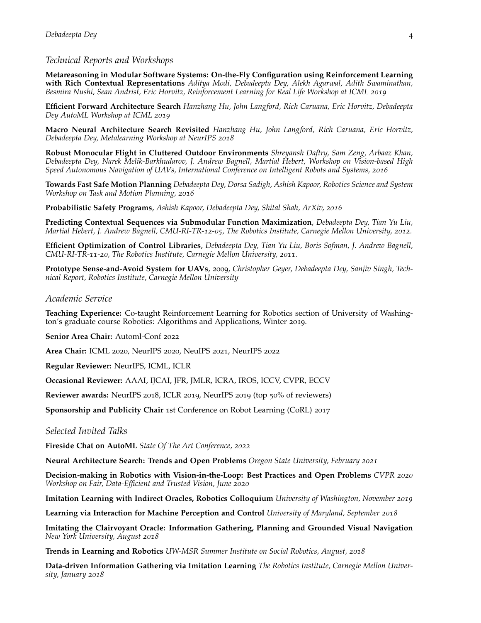#### *Technical Reports and Workshops*

**Metareasoning in Modular Software Systems: On-the-Fly Configuration using Reinforcement Learning with Rich Contextual Representations** *Aditya Modi, Debadeepta Dey, Alekh Agarwal, Adith Swaminathan, Besmira Nushi, Sean Andrist, Eric Horvitz, Reinforcement Learning for Real Life Workshop at ICML 2019*

**Efficient Forward Architecture Search** *Hanzhang Hu, John Langford, Rich Caruana, Eric Horvitz, Debadeepta Dey AutoML Workshop at ICML 2019*

**Macro Neural Architecture Search Revisited** *Hanzhang Hu, John Langford, Rich Caruana, Eric Horvitz, Debadeepta Dey, Metalearning Workshop at NeurIPS 2018*

**Robust Monocular Flight in Cluttered Outdoor Environments** *Shreyansh Daftry, Sam Zeng, Arbaaz Khan, Debadeepta Dey, Narek Melik-Barkhudarov, J. Andrew Bagnell, Martial Hebert, Workshop on Vision-based High Speed Autonomous Navigation of UAVs, International Conference on Intelligent Robots and Systems, 2016*

**Towards Fast Safe Motion Planning** *Debadeepta Dey, Dorsa Sadigh, Ashish Kapoor, Robotics Science and System Workshop on Task and Motion Planning, 2016*

**Probabilistic Safety Programs**, *Ashish Kapoor, Debadeepta Dey, Shital Shah, ArXiv, 2016*

**Predicting Contextual Sequences via Submodular Function Maximization**, *Debadeepta Dey, Tian Yu Liu, Martial Hebert, J. Andrew Bagnell, CMU-RI-TR-12-05, The Robotics Institute, Carnegie Mellon University, 2012.*

**Efficient Optimization of Control Libraries**, *Debadeepta Dey, Tian Yu Liu, Boris Sofman, J. Andrew Bagnell, CMU-RI-TR-11-20, The Robotics Institute, Carnegie Mellon University, 2011.*

**Prototype Sense-and-Avoid System for UAVs**, 2009, *Christopher Geyer, Debadeepta Dey, Sanjiv Singh, Technical Report, Robotics Institute, Carnegie Mellon University*

#### *Academic Service*

**Teaching Experience:** Co-taught Reinforcement Learning for Robotics section of University of Washington's graduate course Robotics: Algorithms and Applications, Winter 2019.

**Senior Area Chair:** Automl-Conf 2022

**Area Chair:** ICML 2020, NeurIPS 2020, NeuIPS 2021, NeurIPS 2022

**Regular Reviewer:** NeurIPS, ICML, ICLR

**Occasional Reviewer:** AAAI, IJCAI, JFR, JMLR, ICRA, IROS, ICCV, CVPR, ECCV

**Reviewer awards:** NeurIPS 2018, ICLR 2019, NeurIPS 2019 (top 50% of reviewers)

**Sponsorship and Publicity Chair** 1st Conference on Robot Learning (CoRL) 2017

#### *Selected Invited Talks*

**Fireside Chat on AutoML** *State Of The Art Conference, 2022*

**Neural Architecture Search: Trends and Open Problems** *Oregon State University, February 2021*

**Decision-making in Robotics with Vision-in-the-Loop: Best Practices and Open Problems** *CVPR 2020 Workshop on Fair, Data-Efficient and Trusted Vision, June 2020*

**Imitation Learning with Indirect Oracles, Robotics Colloquium** *University of Washington, November 2019*

**Learning via Interaction for Machine Perception and Control** *University of Maryland, September 2018*

**Imitating the Clairvoyant Oracle: Information Gathering, Planning and Grounded Visual Navigation** *New York University, August 2018*

**Trends in Learning and Robotics** *UW-MSR Summer Institute on Social Robotics, August, 2018*

**Data-driven Information Gathering via Imitation Learning** *The Robotics Institute, Carnegie Mellon University, January 2018*